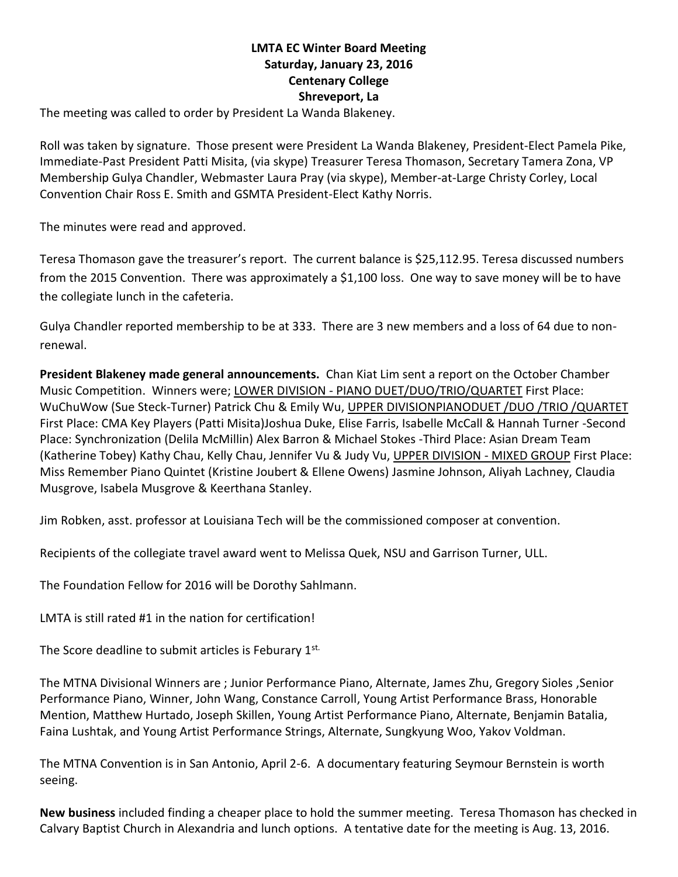## **LMTA EC Winter Board Meeting Saturday, January 23, 2016 Centenary College Shreveport, La**

The meeting was called to order by President La Wanda Blakeney.

Roll was taken by signature. Those present were President La Wanda Blakeney, President-Elect Pamela Pike, Immediate-Past President Patti Misita, (via skype) Treasurer Teresa Thomason, Secretary Tamera Zona, VP Membership Gulya Chandler, Webmaster Laura Pray (via skype), Member-at-Large Christy Corley, Local Convention Chair Ross E. Smith and GSMTA President-Elect Kathy Norris.

The minutes were read and approved.

Teresa Thomason gave the treasurer's report.The current balance is \$25,112.95. Teresa discussed numbers from the 2015 Convention. There was approximately a \$1,100 loss. One way to save money will be to have the collegiate lunch in the cafeteria.

Gulya Chandler reported membership to be at 333. There are 3 new members and a loss of 64 due to nonrenewal.

**President Blakeney made general announcements.** Chan Kiat Lim sent a report on the October Chamber Music Competition. Winners were; LOWER DIVISION - PIANO DUET/DUO/TRIO/QUARTET First Place: WuChuWow (Sue Steck-Turner) Patrick Chu & Emily Wu, UPPER DIVISIONPIANODUET /DUO /TRIO /QUARTET First Place: CMA Key Players (Patti Misita)Joshua Duke, Elise Farris, Isabelle McCall & Hannah Turner -Second Place: Synchronization (Delila McMillin) Alex Barron & Michael Stokes -Third Place: Asian Dream Team (Katherine Tobey) Kathy Chau, Kelly Chau, Jennifer Vu & Judy Vu, UPPER DIVISION - MIXED GROUP First Place: Miss Remember Piano Quintet (Kristine Joubert & Ellene Owens) Jasmine Johnson, Aliyah Lachney, Claudia Musgrove, Isabela Musgrove & Keerthana Stanley.

Jim Robken, asst. professor at Louisiana Tech will be the commissioned composer at convention.

Recipients of the collegiate travel award went to Melissa Quek, NSU and Garrison Turner, ULL.

The Foundation Fellow for 2016 will be Dorothy Sahlmann.

LMTA is still rated #1 in the nation for certification!

The Score deadline to submit articles is Feburary 1st.

The MTNA Divisional Winners are ; Junior Performance Piano, Alternate, James Zhu, Gregory Sioles ,Senior Performance Piano, Winner, John Wang, Constance Carroll, Young Artist Performance Brass, Honorable Mention, Matthew Hurtado, Joseph Skillen, Young Artist Performance Piano, Alternate, Benjamin Batalia, Faina Lushtak, and Young Artist Performance Strings, Alternate, Sungkyung Woo, Yakov Voldman.

The MTNA Convention is in San Antonio, April 2-6. A documentary featuring Seymour Bernstein is worth seeing.

**New business** included finding a cheaper place to hold the summer meeting. Teresa Thomason has checked in Calvary Baptist Church in Alexandria and lunch options. A tentative date for the meeting is Aug. 13, 2016.